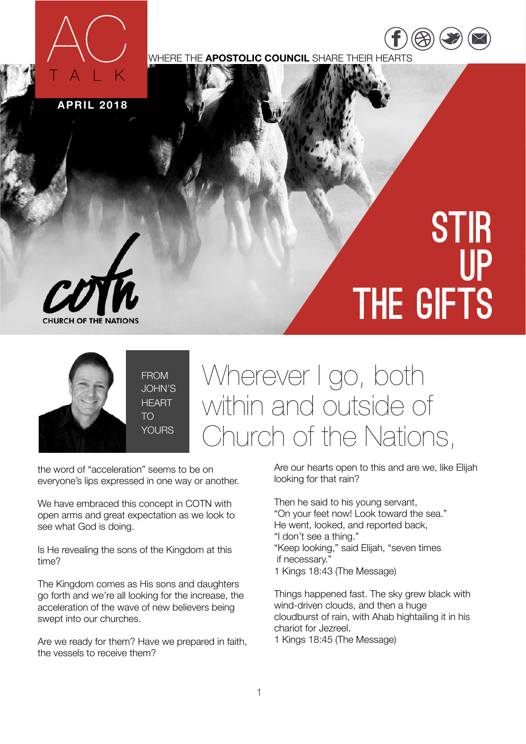

WHERE THE **APOSTOLIC COUNCIL** SHARE THEIR HEARTS

**APRIL 2018**

## **STIR** up the gifts

[https://](https://www.facebook.com/COTNATIONS) ww.fac

 $\overline{\phantom{a}}$ [twitter.com](https://twitter.com/COTNations) [/](https://twitter.com/COTNations)  $(\triangle \triangle)$  ( $\square$ ) ( $\square$ 



**THE NATIONS** 

JOHN'S

## Wherever I go, both within and outside of Church of the Nations,

the word of "acceleration" seems to be on everyone's lips expressed in one way or another.

We have embraced this concept in COTN with open arms and great expectation as we look to see what God is doing.

Is He revealing the sons of the Kingdom at this time?

The Kingdom comes as His sons and daughters go forth and we're all looking for the increase, the acceleration of the wave of new believers being swept into our churches.

Are we ready for them? Have we prepared in faith, the vessels to receive them?

Are our hearts open to this and are we, like Elijah looking for that rain?

Then he said to his young servant, "On your feet now! Look toward the sea." He went, looked, and reported back, "I don't see a thing." "Keep looking," said Elijah, "seven times if necessary."

1 Kings 18:43 (The Message)

Things happened fast. The sky grew black with wind-driven clouds, and then a huge cloudburst of rain, with Ahab hightailing it in his chariot for Jezreel. 1 Kings 18:45 (The Message)

1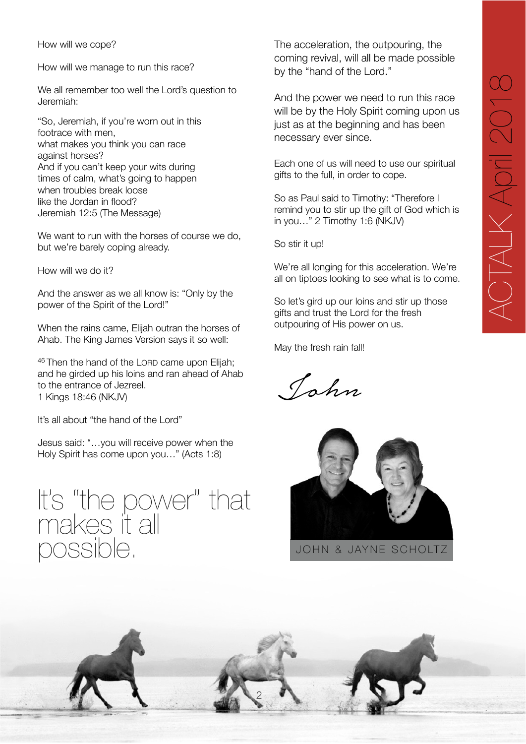How will we cope?

How will we manage to run this race?

We all remember too well the Lord's question to Jeremiah:

"So, Jeremiah, if you're worn out in this footrace with men, what makes you think you can race against horses? And if you can't keep your wits during times of calm, what's going to happen when troubles break loose like the Jordan in flood? Jeremiah 12:5 (The Message)

We want to run with the horses of course we do, but we're barely coping already.

How will we do it?

And the answer as we all know is: "Only by the power of the Spirit of the Lord!"

When the rains came, Elijah outran the horses of Ahab. The King James Version says it so well:

46 Then the hand of the LORD came upon Elijah; and he girded up his loins and ran ahead of Ahab to the entrance of Jezreel. 1 Kings 18:46 (NKJV)

It's all about "the hand of the Lord"

Jesus said: "…you will receive power when the Holy Spirit has come upon you…" (Acts 1:8)

It's "the power" that makes it all possible.

The acceleration, the outpouring, the coming revival, will all be made possible by the "hand of the Lord."

And the power we need to run this race will be by the Holy Spirit coming upon us just as at the beginning and has been necessary ever since.

Each one of us will need to use our spiritual gifts to the full, in order to cope.

So as Paul said to Timothy: "Therefore I remind you to stir up the gift of God which is in you…" 2 Timothy 1:6 (NKJV)

So stir it up!

We're all longing for this acceleration. We're all on tiptoes looking to see what is to come.

So let's gird up our loins and stir up those gifts and trust the Lord for the fresh outpouring of His power on us.

May the fresh rain fall!

John



JOHN & JAYNE SCHOLTZ